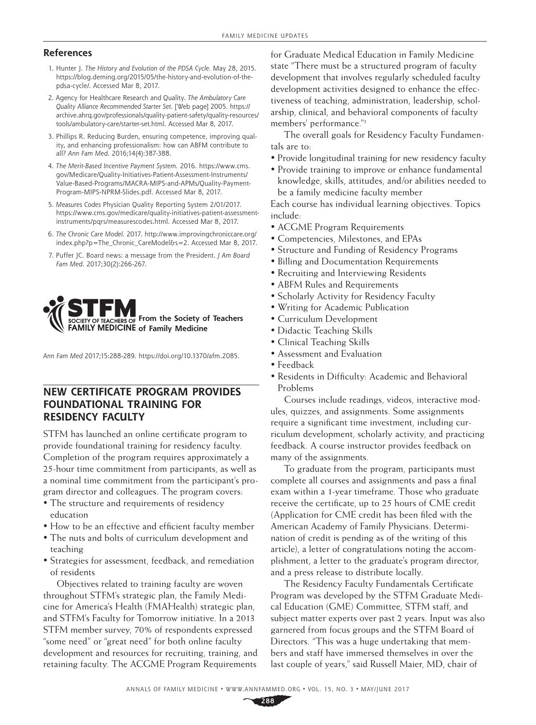## **References**

- 1. Hunter J. *The History and Evolution of the PDSA Cycle.* May 28, 2015. [https://blog.deming.org/2015/05/the-history-and-evolution-of-the](https://blog.deming.org/2015/05/the-history-and-evolution-of-the-pdsa-cycle/)[pdsa-cycle/. Accessed](https://blog.deming.org/2015/05/the-history-and-evolution-of-the-pdsa-cycle/) Mar 8, 2017.
- 2. Agency for Healthcare Research and Quality. *The Ambulatory Care Quality Alliance Recommended Starter Set*. [Web page] 2005. [https://](https://archive.ahrq.gov/professionals/quality-patient-safety/quality-resources/tools/ambulatory-care/starter-set.html) [archive.ahrq.gov/professionals/quality-patient-safety/quality-resources/](https://archive.ahrq.gov/professionals/quality-patient-safety/quality-resources/tools/ambulatory-care/starter-set.html) [tools/ambulatory-care/starter-set.html](https://archive.ahrq.gov/professionals/quality-patient-safety/quality-resources/tools/ambulatory-care/starter-set.html). Accessed Mar 8, 2017.
- 3. Phillips R. Reducing Burden, ensuring competence, improving quality, and enhancing professionalism: how can ABFM contribute to all? *Ann Fam Med*. 2016;14(4):387-388.
- 4. *The Merit-Based Incentive Payment System*. 2016. [https://www.cms.](https://www.cms.gov/Medicare/Quality-Initiatives-Patient-Assessment-Instruments/Value-Based-Programs/MACRA-MIPS-and-APMs/Quality-Payment-Program-MIPS-NPRM-Slides.pdf) [gov/Medicare/Quality-Initiatives-Patient-Assessment-Instruments/](https://www.cms.gov/Medicare/Quality-Initiatives-Patient-Assessment-Instruments/Value-Based-Programs/MACRA-MIPS-and-APMs/Quality-Payment-Program-MIPS-NPRM-Slides.pdf) [Value-Based-Programs/MACRA-MIPS-and-APMs/Quality-Payment-](https://www.cms.gov/Medicare/Quality-Initiatives-Patient-Assessment-Instruments/Value-Based-Programs/MACRA-MIPS-and-APMs/Quality-Payment-Program-MIPS-NPRM-Slides.pdf)[Program-MIPS-NPRM-Slides.pdf.](https://www.cms.gov/Medicare/Quality-Initiatives-Patient-Assessment-Instruments/Value-Based-Programs/MACRA-MIPS-and-APMs/Quality-Payment-Program-MIPS-NPRM-Slides.pdf) Accessed Mar 8, 2017.
- 5. *Measures Codes* Physician Quality Reporting System 2/01/2017. [https://www.cms.gov/medicare/quality-initiatives-patient-assessment](https://www.cms.gov/medicare/quality-initiatives-patient-assessment-instruments/pqrs/measurescodes.html)[instruments/pqrs/measurescodes.html.](https://www.cms.gov/medicare/quality-initiatives-patient-assessment-instruments/pqrs/measurescodes.html) Accessed Mar 8, 2017.
- 6. *The Chronic Care Model*. 2017. [http://www.improvingchroniccare.org/](http://www.improvingchroniccare.org/index.php?p=The_Chronic_CareModel&s=2) [index.php?p=The\\_Chronic\\_CareModel&s=2](http://www.improvingchroniccare.org/index.php?p=The_Chronic_CareModel&s=2). Accessed Mar 8, 2017.
- 7. Puffer JC. Board news: a message from the President. *J Am Board Fam Med*. 2017;30(2):266-267.



*Ann Fam Med* 2017;15:288-289. [https://doi.org/10.1370/afm.2085.](https://doi.org/10.1370/afm.2085)

## **NEW CERTIFICATE PROGRAM PROVIDES FOUNDATIONAL TRAINING FOR RESIDENCY FACULTY**

STFM has launched an online certificate program to provide foundational training for residency faculty. Completion of the program requires approximately a 25-hour time commitment from participants, as well as a nominal time commitment from the participant's program director and colleagues. The program covers:

- The structure and requirements of residency education
- How to be an effective and efficient faculty member
- The nuts and bolts of curriculum development and teaching
- Strategies for assessment, feedback, and remediation of residents

Objectives related to training faculty are woven throughout STFM's strategic plan, the Family Medicine for America's Health (FMAHealth) strategic plan, and STFM's Faculty for Tomorrow initiative. In a 2013 STFM member survey, 70% of respondents expressed "some need" or "great need" for both online faculty development and resources for recruiting, training, and retaining faculty. The ACGME Program Requirements

for Graduate Medical Education in Family Medicine state "There must be a structured program of faculty development that involves regularly scheduled faculty development activities designed to enhance the effectiveness of teaching, administration, leadership, scholarship, clinical, and behavioral components of faculty members' performance."1

The overall goals for Residency Faculty Fundamentals are to:

- Provide longitudinal training for new residency faculty
- Provide training to improve or enhance fundamental knowledge, skills, attitudes, and/or abilities needed to be a family medicine faculty member

Each course has individual learning objectives. Topics include:

- ACGME Program Requirements
- Competencies, Milestones, and EPAs
- Structure and Funding of Residency Programs
- Billing and Documentation Requirements
- Recruiting and Interviewing Residents
- ABFM Rules and Requirements
- Scholarly Activity for Residency Faculty
- Writing for Academic Publication
- Curriculum Development
- Didactic Teaching Skills
- Clinical Teaching Skills
- Assessment and Evaluation
- Feedback
- Residents in Difficulty: Academic and Behavioral Problems

Courses include readings, videos, interactive modules, quizzes, and assignments. Some assignments require a significant time investment, including curriculum development, scholarly activity, and practicing feedback. A course instructor provides feedback on many of the assignments.

To graduate from the program, participants must complete all courses and assignments and pass a final exam within a 1-year timeframe. Those who graduate receive the certificate, up to 25 hours of CME credit (Application for CME credit has been filed with the American Academy of Family Physicians. Determination of credit is pending as of the writing of this article), a letter of congratulations noting the accomplishment, a letter to the graduate's program director, and a press release to distribute locally.

The Residency Faculty Fundamentals Certificate Program was developed by the STFM Graduate Medical Education (GME) Committee, STFM staff, and subject matter experts over past 2 years. Input was also garnered from focus groups and the STFM Board of Directors. "This was a huge undertaking that members and staff have immersed themselves in over the last couple of years," said Russell Maier, MD, chair of